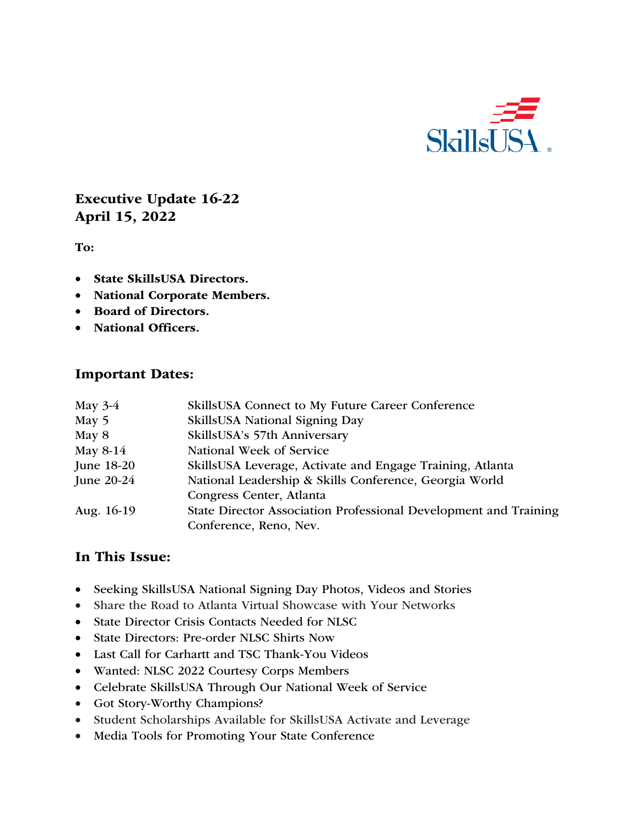

# Executive Update 16-22 April 15, 2022

To:

- State SkillsUSA Directors.
- National Corporate Members.
- Board of Directors.
- National Officers.

#### Important Dates:

| May $3-4$    | SkillsUSA Connect to My Future Career Conference                 |
|--------------|------------------------------------------------------------------|
| May 5        | SkillsUSA National Signing Day                                   |
| May 8        | SkillsUSA's 57th Anniversary                                     |
| May 8-14     | National Week of Service                                         |
| June 18-20   | SkillsUSA Leverage, Activate and Engage Training, Atlanta        |
| June $20-24$ | National Leadership & Skills Conference, Georgia World           |
|              | Congress Center, Atlanta                                         |
| Aug. 16-19   | State Director Association Professional Development and Training |
|              | Conference, Reno, Nev.                                           |

### In This Issue:

- Seeking SkillsUSA National Signing Day Photos, Videos and Stories
- Share the Road to Atlanta Virtual Showcase with Your Networks
- State Director Crisis Contacts Needed for NLSC
- State Directors: Pre-order NLSC Shirts Now
- Last Call for Carhartt and TSC Thank-You Videos
- Wanted: NLSC 2022 Courtesy Corps Members
- Celebrate SkillsUSA Through Our National Week of Service
- Got Story-Worthy Champions?
- Student Scholarships Available for SkillsUSA Activate and Leverage
- Media Tools for Promoting Your State Conference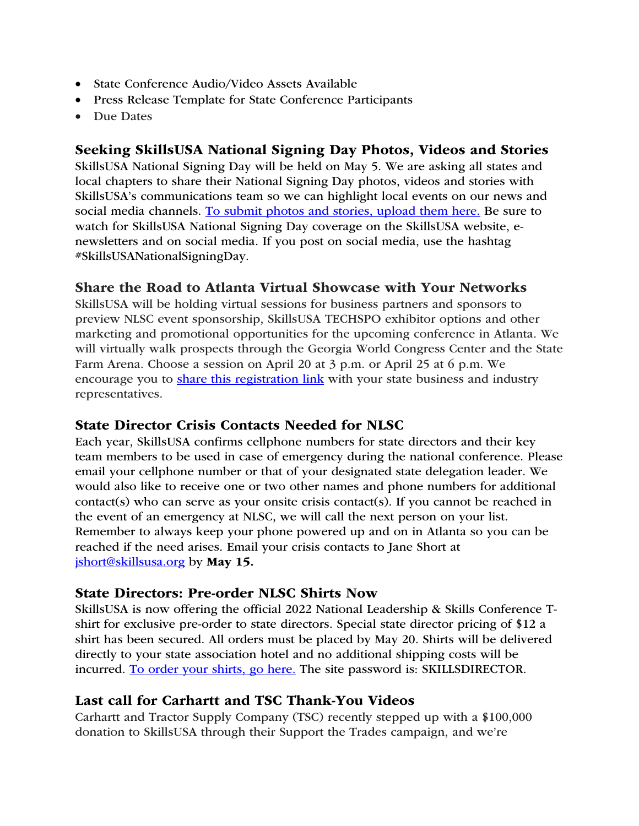- State Conference Audio/Video Assets Available
- Press Release Template for State Conference Participants
- Due Dates

### Seeking SkillsUSA National Signing Day Photos, Videos and Stories

SkillsUSA National Signing Day will be held on May 5. We are asking all states and local chapters to share their National Signing Day photos, videos and stories with SkillsUSA's communications team so we can highlight local events on our news and social media channels. To submit photos and stories, upload them here. Be sure to watch for SkillsUSA National Signing Day coverage on the SkillsUSA website, enewsletters and on social media. If you post on social media, use the hashtag #SkillsUSANationalSigningDay.

# Share the Road to Atlanta Virtual Showcase with Your Networks

SkillsUSA will be holding virtual sessions for business partners and sponsors to preview NLSC event sponsorship, SkillsUSA TECHSPO exhibitor options and other marketing and promotional opportunities for the upcoming conference in Atlanta. We will virtually walk prospects through the Georgia World Congress Center and the State Farm Arena. Choose a session on April 20 at 3 p.m. or April 25 at 6 p.m. We encourage you to share this registration link with your state business and industry representatives.

# State Director Crisis Contacts Needed for NLSC

Each year, SkillsUSA confirms cellphone numbers for state directors and their key team members to be used in case of emergency during the national conference. Please email your cellphone number or that of your designated state delegation leader. We would also like to receive one or two other names and phone numbers for additional contact(s) who can serve as your onsite crisis contact(s). If you cannot be reached in the event of an emergency at NLSC, we will call the next person on your list. Remember to always keep your phone powered up and on in Atlanta so you can be reached if the need arises. Email your crisis contacts to Jane Short at jshort@skillsusa.org by May 15.

### State Directors: Pre-order NLSC Shirts Now

SkillsUSA is now offering the official 2022 National Leadership & Skills Conference Tshirt for exclusive pre-order to state directors. Special state director pricing of \$12 a shirt has been secured. All orders must be placed by May 20. Shirts will be delivered directly to your state association hotel and no additional shipping costs will be incurred. To order your shirts, go here. The site password is: SKILLSDIRECTOR.

# Last call for Carhartt and TSC Thank-You Videos

Carhartt and Tractor Supply Company (TSC) recently stepped up with a \$100,000 donation to SkillsUSA through their Support the Trades campaign, and we're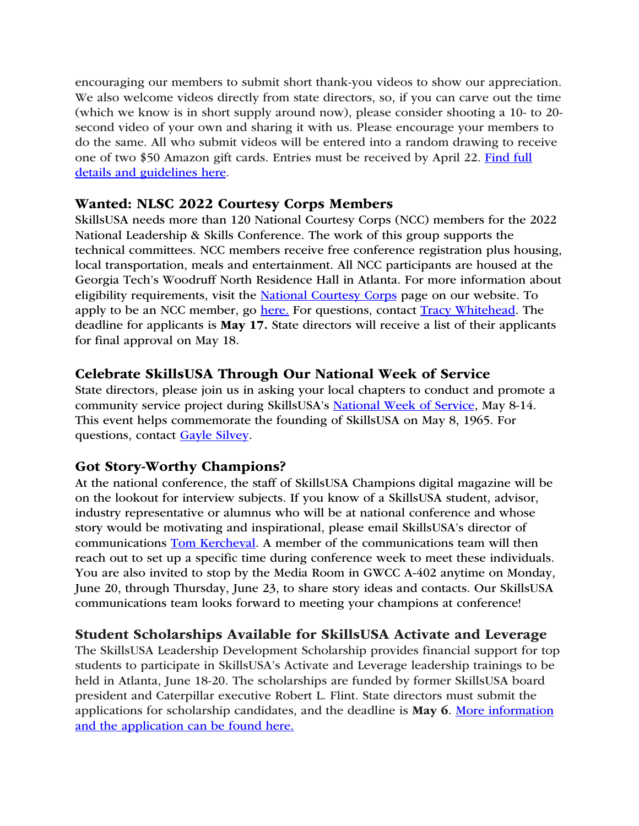encouraging our members to submit short thank-you videos to show our appreciation. We also welcome videos directly from state directors, so, if you can carve out the time (which we know is in short supply around now), please consider shooting a 10- to 20 second video of your own and sharing it with us. Please encourage your members to do the same. All who submit videos will be entered into a random drawing to receive one of two \$50 Amazon gift cards. Entries must be received by April 22. Find full details and guidelines here.

#### Wanted: NLSC 2022 Courtesy Corps Members

SkillsUSA needs more than 120 National Courtesy Corps (NCC) members for the 2022 National Leadership & Skills Conference. The work of this group supports the technical committees. NCC members receive free conference registration plus housing, local transportation, meals and entertainment. All NCC participants are housed at the Georgia Tech's Woodruff North Residence Hall in Atlanta. For more information about eligibility requirements, visit the National Courtesy Corps page on our website. To apply to be an NCC member, go here. For questions, contact Tracy Whitehead. The deadline for applicants is May 17. State directors will receive a list of their applicants for final approval on May 18.

### Celebrate SkillsUSA Through Our National Week of Service

State directors, please join us in asking your local chapters to conduct and promote a community service project during SkillsUSA's National Week of Service, May 8-14. This event helps commemorate the founding of SkillsUSA on May 8, 1965. For questions, contact Gayle Silvey.

### Got Story-Worthy Champions?

At the national conference, the staff of SkillsUSA Champions digital magazine will be on the lookout for interview subjects. If you know of a SkillsUSA student, advisor, industry representative or alumnus who will be at national conference and whose story would be motivating and inspirational, please email SkillsUSA's director of communications Tom Kercheval. A member of the communications team will then reach out to set up a specific time during conference week to meet these individuals. You are also invited to stop by the Media Room in GWCC A-402 anytime on Monday, June 20, through Thursday, June 23, to share story ideas and contacts. Our SkillsUSA communications team looks forward to meeting your champions at conference!

# Student Scholarships Available for SkillsUSA Activate and Leverage

The SkillsUSA Leadership Development Scholarship provides financial support for top students to participate in SkillsUSA's Activate and Leverage leadership trainings to be held in Atlanta, June 18-20. The scholarships are funded by former SkillsUSA board president and Caterpillar executive Robert L. Flint. State directors must submit the applications for scholarship candidates, and the deadline is May 6. More information and the application can be found here.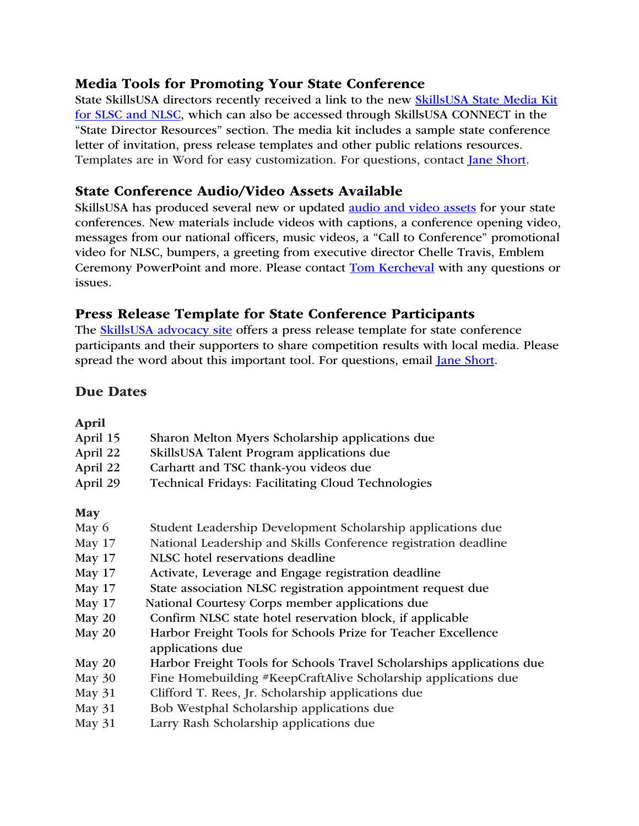### Media Tools for Promoting Your State Conference

State SkillsUSA directors recently received a link to the new SkillsUSA State Media Kit for SLSC and NLSC, which can also be accessed through SkillsUSA CONNECT in the "State Director Resources" section. The media kit includes a sample state conference letter of invitation, press release templates and other public relations resources. Templates are in Word for easy customization. For questions, contact Jane Short.

### State Conference Audio/Video Assets Available

SkillsUSA has produced several new or updated audio and video assets for your state conferences. New materials include videos with captions, a conference opening video, messages from our national officers, music videos, a "Call to Conference" promotional video for NLSC, bumpers, a greeting from executive director Chelle Travis, Emblem Ceremony PowerPoint and more. Please contact Tom Kercheval with any questions or issues.

# Press Release Template for State Conference Participants

The **SkillsUSA** advocacy site offers a press release template for state conference participants and their supporters to share competition results with local media. Please spread the word about this important tool. For questions, email Jane Short.

### Due Dates

#### April

| Sharon Melton Myers Scholarship applications due<br>April 15<br>SkillsUSA Talent Program applications due<br>April 22<br>April 22<br>Carhartt and TSC thank-you videos due<br>April 29<br>Technical Fridays: Facilitating Cloud Technologies<br>May<br>Student Leadership Development Scholarship applications due<br>May 6<br>National Leadership and Skills Conference registration deadline<br>May 17<br>NLSC hotel reservations deadline<br><b>May 17</b><br>Activate, Leverage and Engage registration deadline<br>May 17<br>State association NLSC registration appointment request due<br><b>May 17</b><br>National Courtesy Corps member applications due<br><b>May 17</b> |  |
|------------------------------------------------------------------------------------------------------------------------------------------------------------------------------------------------------------------------------------------------------------------------------------------------------------------------------------------------------------------------------------------------------------------------------------------------------------------------------------------------------------------------------------------------------------------------------------------------------------------------------------------------------------------------------------|--|
|                                                                                                                                                                                                                                                                                                                                                                                                                                                                                                                                                                                                                                                                                    |  |
|                                                                                                                                                                                                                                                                                                                                                                                                                                                                                                                                                                                                                                                                                    |  |
|                                                                                                                                                                                                                                                                                                                                                                                                                                                                                                                                                                                                                                                                                    |  |
|                                                                                                                                                                                                                                                                                                                                                                                                                                                                                                                                                                                                                                                                                    |  |
|                                                                                                                                                                                                                                                                                                                                                                                                                                                                                                                                                                                                                                                                                    |  |
|                                                                                                                                                                                                                                                                                                                                                                                                                                                                                                                                                                                                                                                                                    |  |
|                                                                                                                                                                                                                                                                                                                                                                                                                                                                                                                                                                                                                                                                                    |  |
|                                                                                                                                                                                                                                                                                                                                                                                                                                                                                                                                                                                                                                                                                    |  |
|                                                                                                                                                                                                                                                                                                                                                                                                                                                                                                                                                                                                                                                                                    |  |
|                                                                                                                                                                                                                                                                                                                                                                                                                                                                                                                                                                                                                                                                                    |  |
|                                                                                                                                                                                                                                                                                                                                                                                                                                                                                                                                                                                                                                                                                    |  |
| Confirm NLSC state hotel reservation block, if applicable<br>May 20                                                                                                                                                                                                                                                                                                                                                                                                                                                                                                                                                                                                                |  |
| Harbor Freight Tools for Schools Prize for Teacher Excellence<br>May 20<br>applications due                                                                                                                                                                                                                                                                                                                                                                                                                                                                                                                                                                                        |  |
| Harbor Freight Tools for Schools Travel Scholarships applications due<br>May 20                                                                                                                                                                                                                                                                                                                                                                                                                                                                                                                                                                                                    |  |
| Fine Homebuilding #KeepCraftAlive Scholarship applications due<br><b>May 30</b>                                                                                                                                                                                                                                                                                                                                                                                                                                                                                                                                                                                                    |  |
| Clifford T. Rees, Jr. Scholarship applications due<br>May 31                                                                                                                                                                                                                                                                                                                                                                                                                                                                                                                                                                                                                       |  |
| Bob Westphal Scholarship applications due<br><b>May 31</b>                                                                                                                                                                                                                                                                                                                                                                                                                                                                                                                                                                                                                         |  |
| Larry Rash Scholarship applications due<br>May 31                                                                                                                                                                                                                                                                                                                                                                                                                                                                                                                                                                                                                                  |  |